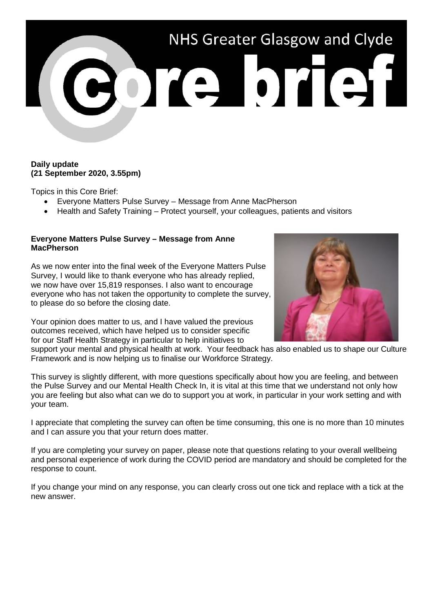

## **Daily update (21 September 2020, 3.55pm)**

Topics in this Core Brief:

- Everyone Matters Pulse Survey Message from Anne MacPherson
- Health and Safety Training Protect yourself, your colleagues, patients and visitors

## **Everyone Matters Pulse Survey – Message from Anne MacPherson**

As we now enter into the final week of the Everyone Matters Pulse Survey, I would like to thank everyone who has already replied, we now have over 15,819 responses. I also want to encourage everyone who has not taken the opportunity to complete the survey, to please do so before the closing date.

Your opinion does matter to us, and I have valued the previous outcomes received, which have helped us to consider specific for our Staff Health Strategy in particular to help initiatives to



support your mental and physical health at work. Your feedback has also enabled us to shape our Culture Framework and is now helping us to finalise our Workforce Strategy.

This survey is slightly different, with more questions specifically about how you are feeling, and between the Pulse Survey and our Mental Health Check In, it is vital at this time that we understand not only how you are feeling but also what can we do to support you at work, in particular in your work setting and with your team.

I appreciate that completing the survey can often be time consuming, this one is no more than 10 minutes and I can assure you that your return does matter.

If you are completing your survey on paper, please note that questions relating to your overall wellbeing and personal experience of work during the COVID period are mandatory and should be completed for the response to count.

If you change your mind on any response, you can clearly cross out one tick and replace with a tick at the new answer.